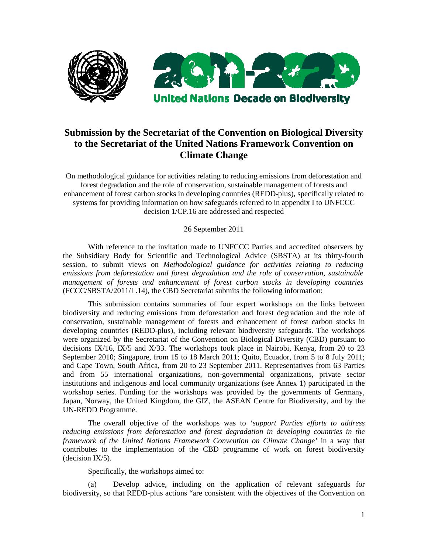

# **Submission by the Secretariat of the Convention on Biological Diversity to the Secretariat of the United Nations Framework Convention on Climate Change**

On methodological guidance for activities relating to reducing emissions from deforestation and forest degradation and the role of conservation, sustainable management of forests and enhancement of forest carbon stocks in developing countries (REDD-plus), specifically related to systems for providing information on how safeguards referred to in appendix I to UNFCCC decision 1/CP.16 are addressed and respected

26 September 2011

With reference to the invitation made to UNFCCC Parties and accredited observers by the Subsidiary Body for Scientific and Technological Advice (SBSTA) at its thirty-fourth session, to submit views on *Methodological guidance for activities relating to reducing emissions from deforestation and forest degradation and the role of conservation, sustainable management of forests and enhancement of forest carbon stocks in developing countries*  (FCCC/SBSTA/2011/L.14), the CBD Secretariat submits the following information:

This submission contains summaries of four expert workshops on the links between biodiversity and reducing emissions from deforestation and forest degradation and the role of conservation, sustainable management of forests and enhancement of forest carbon stocks in developing countries (REDD-plus), including relevant biodiversity safeguards. The workshops were organized by the Secretariat of the Convention on Biological Diversity (CBD) pursuant to decisions IX/16, IX/5 and X/33. The workshops took place in Nairobi, Kenya, from 20 to 23 September 2010; Singapore, from 15 to 18 March 2011; Quito, Ecuador, from 5 to 8 July 2011; and Cape Town, South Africa, from 20 to 23 September 2011. Representatives from 63 Parties and from 55 international organizations, non-governmental organizations, private sector institutions and indigenous and local community organizations (see Annex 1) participated in the workshop series. Funding for the workshops was provided by the governments of Germany, Japan, Norway, the United Kingdom, the GIZ, the ASEAN Centre for Biodiversity, and by the UN-REDD Programme.

The overall objective of the workshops was to '*support Parties efforts to address reducing emissions from deforestation and forest degradation in developing countries in the framework of the United Nations Framework Convention on Climate Change'* in a way that contributes to the implementation of the CBD programme of work on forest biodiversity (decision IX/5).

Specifically, the workshops aimed to:

(a) Develop advice, including on the application of relevant safeguards for biodiversity, so that REDD-plus actions "are consistent with the objectives of the Convention on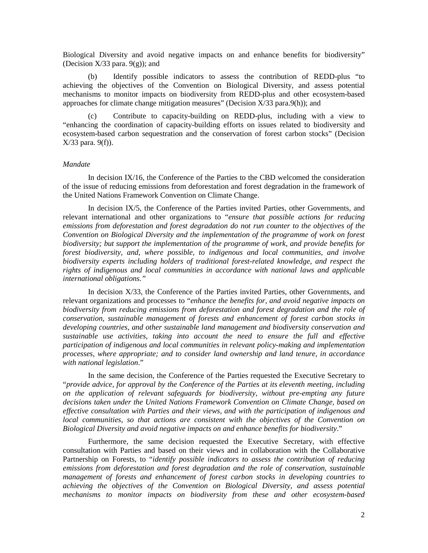Biological Diversity and avoid negative impacts on and enhance benefits for biodiversity" (Decision  $X/33$  para.  $9(g)$ ); and

(b) Identify possible indicators to assess the contribution of REDD-plus "to achieving the objectives of the Convention on Biological Diversity, and assess potential mechanisms to monitor impacts on biodiversity from REDD-plus and other ecosystem-based approaches for climate change mitigation measures" (Decision X/33 para.9(h)); and

Contribute to capacity-building on REDD-plus, including with a view to "enhancing the coordination of capacity-building efforts on issues related to biodiversity and ecosystem-based carbon sequestration and the conservation of forest carbon stocks" (Decision X/33 para. 9(f)).

#### *Mandate*

In decision IX/16, the Conference of the Parties to the CBD welcomed the consideration of the issue of reducing emissions from deforestation and forest degradation in the framework of the United Nations Framework Convention on Climate Change.

In decision IX/5, the Conference of the Parties invited Parties, other Governments, and relevant international and other organizations to "*ensure that possible actions for reducing emissions from deforestation and forest degradation do not run counter to the objectives of the Convention on Biological Diversity and the implementation of the programme of work on forest biodiversity; but support the implementation of the programme of work, and provide benefits for forest biodiversity, and, where possible, to indigenous and local communities, and involve biodiversity experts including holders of traditional forest-related knowledge, and respect the rights of indigenous and local communities in accordance with national laws and applicable international obligations."*

In decision X/33, the Conference of the Parties invited Parties, other Governments, and relevant organizations and processes to "*enhance the benefits for, and avoid negative impacts on biodiversity from reducing emissions from deforestation and forest degradation and the role of conservation, sustainable management of forests and enhancement of forest carbon stocks in developing countries, and other sustainable land management and biodiversity conservation and sustainable use activities, taking into account the need to ensure the full and effective participation of indigenous and local communities in relevant policy-making and implementation processes, where appropriate; and to consider land ownership and land tenure, in accordance with national legislation*."

In the same decision, the Conference of the Parties requested the Executive Secretary to "*provide advice, for approval by the Conference of the Parties at its eleventh meeting, including on the application of relevant safeguards for biodiversity, without pre-empting any future decisions taken under the United Nations Framework Convention on Climate Change, based on effective consultation with Parties and their views, and with the participation of indigenous and local communities, so that actions are consistent with the objectives of the Convention on Biological Diversity and avoid negative impacts on and enhance benefits for biodiversity*."

Furthermore, the same decision requested the Executive Secretary, with effective consultation with Parties and based on their views and in collaboration with the Collaborative Partnership on Forests, to "*identify possible indicators to assess the contribution of reducing emissions from deforestation and forest degradation and the role of conservation, sustainable management of forests and enhancement of forest carbon stocks in developing countries to achieving the objectives of the Convention on Biological Diversity, and assess potential mechanisms to monitor impacts on biodiversity from these and other ecosystem-based*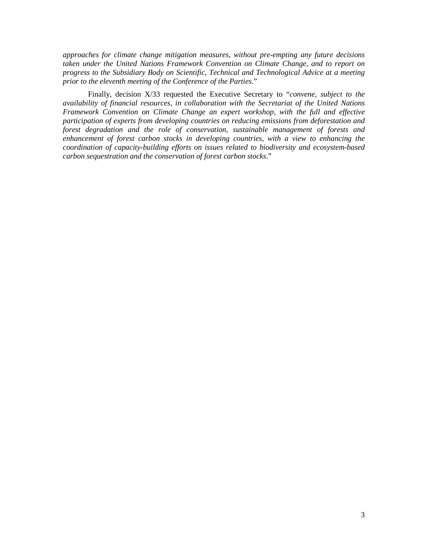*approaches for climate change mitigation measures, without pre-empting any future decisions taken under the United Nations Framework Convention on Climate Change, and to report on progress to the Subsidiary Body on Scientific, Technical and Technological Advice at a meeting prior to the eleventh meeting of the Conference of the Parties*."

Finally, decision X/33 requested the Executive Secretary to "*convene, subject to the availability of financial resources, in collaboration with the Secretariat of the United Nations Framework Convention on Climate Change an expert workshop, with the full and effective participation of experts from developing countries on reducing emissions from deforestation and forest degradation and the role of conservation, sustainable management of forests and enhancement of forest carbon stocks in developing countries, with a view to enhancing the coordination of capacity-building efforts on issues related to biodiversity and ecosystem-based carbon sequestration and the conservation of forest carbon stocks*."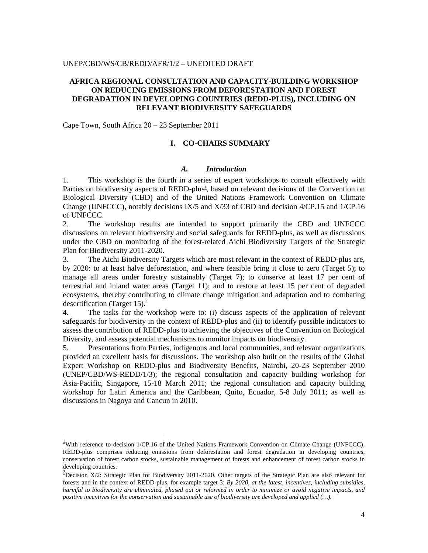#### UNEP/CBD/WS/CB/REDD/AFR/1/2 – UNEDITED DRAFT

## **AFRICA REGIONAL CONSULTATION AND CAPACITY-BUILDING WORKSHOP ON REDUCING EMISSIONS FROM DEFORESTATION AND FOREST DEGRADATION IN DEVELOPING COUNTRIES (REDD-PLUS), INCLUDING ON RELEVANT BIODIVERSITY SAFEGUARDS**

Cape Town, South Africa 20 – 23 September 2011

 $\overline{a}$ 

## **I. CO-CHAIRS SUMMARY**

#### *A. Introduction*

1. This workshop is the fourth in a series of expert workshops to consult effectively with Parties on biodiversity aspects of REDD-plus<sup>1</sup>, based on relevant decisions of the Convention on Biological Diversity (CBD) and of the United Nations Framework Convention on Climate Change (UNFCCC), notably decisions IX/5 and X/33 of CBD and decision 4/CP.15 and 1/CP.16 of UNFCCC.

2. The workshop results are intended to support primarily the CBD and UNFCCC discussions on relevant biodiversity and social safeguards for REDD-plus, as well as discussions under the CBD on monitoring of the forest-related Aichi Biodiversity Targets of the Strategic Plan for Biodiversity 2011-2020.

3. The Aichi Biodiversity Targets which are most relevant in the context of REDD-plus are, by 2020: to at least halve deforestation, and where feasible bring it close to zero (Target 5); to manage all areas under forestry sustainably (Target 7); to conserve at least 17 per cent of terrestrial and inland water areas (Target 11); and to restore at least 15 per cent of degraded ecosystems, thereby contributing to climate change mitigation and adaptation and to combating desertification (Target 15).<sup>2</sup>

4. The tasks for the workshop were to: (i) discuss aspects of the application of relevant safeguards for biodiversity in the context of REDD-plus and (ii) to identify possible indicators to assess the contribution of REDD-plus to achieving the objectives of the Convention on Biological Diversity, and assess potential mechanisms to monitor impacts on biodiversity.

5. Presentations from Parties, indigenous and local communities, and relevant organizations provided an excellent basis for discussions. The workshop also built on the results of the Global Expert Workshop on REDD-plus and Biodiversity Benefits, Nairobi, 20-23 September 2010 (UNEP/CBD/WS-REDD/1/3); the regional consultation and capacity building workshop for Asia-Pacific, Singapore, 15-18 March 2011; the regional consultation and capacity building workshop for Latin America and the Caribbean, Quito, Ecuador, 5-8 July 2011; as well as discussions in Nagoya and Cancun in 2010.

 $\frac{1}{2}$ With reference to decision 1/CP.16 of the United Nations Framework Convention on Climate Change (UNFCCC), REDD-plus comprises reducing emissions from deforestation and forest degradation in developing countries, conservation of forest carbon stocks, sustainable management of forests and enhancement of forest carbon stocks in developing countries.

<sup>&</sup>lt;sup>2</sup>Decision X/2: Strategic Plan for Biodiversity 2011-2020. Other targets of the Strategic Plan are also relevant for forests and in the context of REDD-plus, for example target 3: *By 2020, at the latest, incentives, including subsidies, harmful to biodiversity are eliminated, phased out or reformed in order to minimize or avoid negative impacts, and positive incentives for the conservation and sustainable use of biodiversity are developed and applied (…).*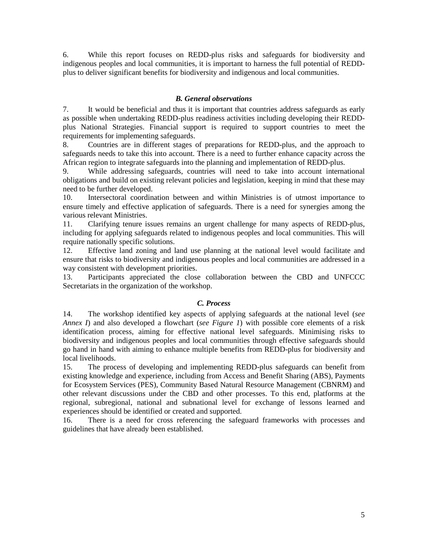6. While this report focuses on REDD-plus risks and safeguards for biodiversity and indigenous peoples and local communities, it is important to harness the full potential of REDDplus to deliver significant benefits for biodiversity and indigenous and local communities.

## *B. General observations*

7. It would be beneficial and thus it is important that countries address safeguards as early as possible when undertaking REDD-plus readiness activities including developing their REDDplus National Strategies. Financial support is required to support countries to meet the requirements for implementing safeguards.

8. Countries are in different stages of preparations for REDD-plus, and the approach to safeguards needs to take this into account. There is a need to further enhance capacity across the African region to integrate safeguards into the planning and implementation of REDD-plus.

9. While addressing safeguards, countries will need to take into account international obligations and build on existing relevant policies and legislation, keeping in mind that these may need to be further developed.

10. Intersectoral coordination between and within Ministries is of utmost importance to ensure timely and effective application of safeguards. There is a need for synergies among the various relevant Ministries.

11. Clarifying tenure issues remains an urgent challenge for many aspects of REDD-plus, including for applying safeguards related to indigenous peoples and local communities. This will require nationally specific solutions.

12. Effective land zoning and land use planning at the national level would facilitate and ensure that risks to biodiversity and indigenous peoples and local communities are addressed in a way consistent with development priorities.

13. Participants appreciated the close collaboration between the CBD and UNFCCC Secretariats in the organization of the workshop.

## *C. Process*

14. The workshop identified key aspects of applying safeguards at the national level (*see Annex I*) and also developed a flowchart (*see Figure 1*) with possible core elements of a risk identification process, aiming for effective national level safeguards. Minimising risks to biodiversity and indigenous peoples and local communities through effective safeguards should go hand in hand with aiming to enhance multiple benefits from REDD-plus for biodiversity and local livelihoods.

15. The process of developing and implementing REDD-plus safeguards can benefit from existing knowledge and experience, including from Access and Benefit Sharing (ABS), Payments for Ecosystem Services (PES), Community Based Natural Resource Management (CBNRM) and other relevant discussions under the CBD and other processes. To this end, platforms at the regional, subregional, national and subnational level for exchange of lessons learned and experiences should be identified or created and supported.

16. There is a need for cross referencing the safeguard frameworks with processes and guidelines that have already been established.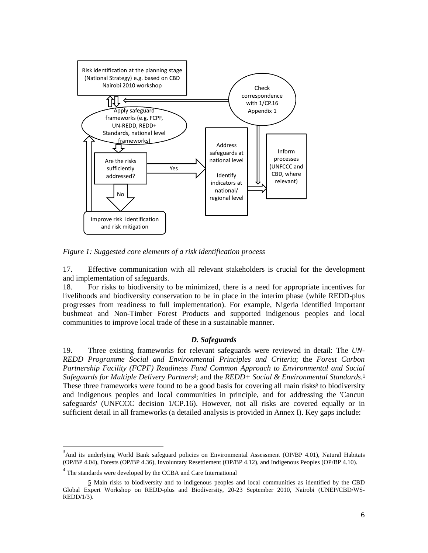

*Figure 1: Suggested core elements of a risk identification process* 

17. Effective communication with all relevant stakeholders is crucial for the development and implementation of safeguards.

18. For risks to biodiversity to be minimized, there is a need for appropriate incentives for livelihoods and biodiversity conservation to be in place in the interim phase (while REDD-plus progresses from readiness to full implementation). For example, Nigeria identified important bushmeat and Non-Timber Forest Products and supported indigenous peoples and local communities to improve local trade of these in a sustainable manner.

#### *D. Safeguards*

19. Three existing frameworks for relevant safeguards were reviewed in detail: The *UN-REDD Programme Social and Environmental Principles and Criteria*; the *Forest Carbon Partnership Facility (FCPF) Readiness Fund Common Approach to Environmental and Social*  Safeguards for Multiple Delivery Partners<sup>3</sup>; and the REDD+ Social & Environmental Standards.<sup>4</sup> These three frameworks were found to be a good basis for covering all main risks<sup>5</sup> to biodiversity and indigenous peoples and local communities in principle, and for addressing the 'Cancun safeguards' (UNFCCC decision 1/CP.16). However, not all risks are covered equally or in sufficient detail in all frameworks (a detailed analysis is provided in Annex I). Key gaps include:

<u>.</u>

 $\frac{3}{2}$ And its underlying World Bank safeguard policies on Environmental Assessment (OP/BP 4.01), Natural Habitats (OP/BP 4.04), Forests (OP/BP 4.36), Involuntary Resettlement (OP/BP 4.12), and Indigenous Peoples (OP/BP 4.10).

 $\frac{4}{3}$  The standards were developed by the CCBA and Care International

<sup>5</sup> Main risks to biodiversity and to indigenous peoples and local communities as identified by the CBD Global Expert Workshop on REDD-plus and Biodiversity, 20-23 September 2010, Nairobi (UNEP/CBD/WS-REDD/1/3).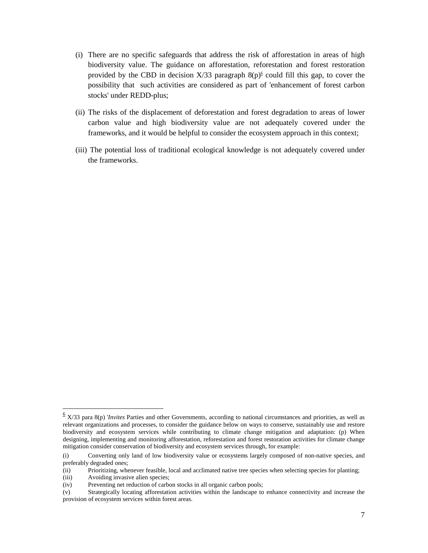- (i) There are no specific safeguards that address the risk of afforestation in areas of high biodiversity value. The guidance on afforestation, reforestation and forest restoration provided by the CBD in decision  $X/33$  paragraph  $8(p)$ <sup>6</sup> could fill this gap, to cover the possibility that such activities are considered as part of 'enhancement of forest carbon stocks' under REDD-plus;
- (ii) The risks of the displacement of deforestation and forest degradation to areas of lower carbon value and high biodiversity value are not adequately covered under the frameworks, and it would be helpful to consider the ecosystem approach in this context;
- (iii) The potential loss of traditional ecological knowledge is not adequately covered under the frameworks.

 6 X/33 para 8(p) '*Invites* Parties and other Governments, according to national circumstances and priorities, as well as relevant organizations and processes, to consider the guidance below on ways to conserve, sustainably use and restore biodiversity and ecosystem services while contributing to climate change mitigation and adaptation: (p) When designing, implementing and monitoring afforestation, reforestation and forest restoration activities for climate change mitigation consider conservation of biodiversity and ecosystem services through, for example:

<sup>(</sup>i) Converting only land of low biodiversity value or ecosystems largely composed of non-native species, and preferably degraded ones;

<sup>(</sup>ii) Prioritizing, whenever feasible, local and acclimated native tree species when selecting species for planting;

<sup>(</sup>iii) Avoiding invasive alien species;

<sup>(</sup>iv) Preventing net reduction of carbon stocks in all organic carbon pools;

<sup>(</sup>v) Strategically locating afforestation activities within the landscape to enhance connectivity and increase the provision of ecosystem services within forest areas.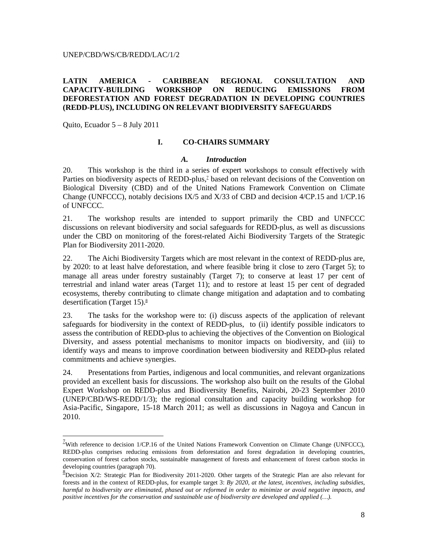#### UNEP/CBD/WS/CB/REDD/LAC/1/2

# **LATIN AMERICA - CARIBBEAN REGIONAL CONSULTATION AND CAPACITY-BUILDING WORKSHOP ON REDUCING EMISSIONS FROM DEFORESTATION AND FOREST DEGRADATION IN DEVELOPING COUNTRIES (REDD-PLUS), INCLUDING ON RELEVANT BIODIVERSITY SAFEGUARDS**

Quito, Ecuador 5 – 8 July 2011

 $\overline{a}$ 

## **I. CO-CHAIRS SUMMARY**

#### *A. Introduction*

20. This workshop is the third in a series of expert workshops to consult effectively with Parties on biodiversity aspects of REDD-plus,<sup>7</sup> based on relevant decisions of the Convention on Biological Diversity (CBD) and of the United Nations Framework Convention on Climate Change (UNFCCC), notably decisions IX/5 and X/33 of CBD and decision 4/CP.15 and 1/CP.16 of UNFCCC.

21. The workshop results are intended to support primarily the CBD and UNFCCC discussions on relevant biodiversity and social safeguards for REDD-plus, as well as discussions under the CBD on monitoring of the forest-related Aichi Biodiversity Targets of the Strategic Plan for Biodiversity 2011-2020.

22. The Aichi Biodiversity Targets which are most relevant in the context of REDD-plus are, by 2020: to at least halve deforestation, and where feasible bring it close to zero (Target 5); to manage all areas under forestry sustainably (Target 7); to conserve at least 17 per cent of terrestrial and inland water areas (Target 11); and to restore at least 15 per cent of degraded ecosystems, thereby contributing to climate change mitigation and adaptation and to combating desertification (Target 15).<sup>8</sup>

23. The tasks for the workshop were to: (i) discuss aspects of the application of relevant safeguards for biodiversity in the context of REDD-plus, to (ii) identify possible indicators to assess the contribution of REDD-plus to achieving the objectives of the Convention on Biological Diversity, and assess potential mechanisms to monitor impacts on biodiversity, and (iii) to identify ways and means to improve coordination between biodiversity and REDD-plus related commitments and achieve synergies.

24. Presentations from Parties, indigenous and local communities, and relevant organizations provided an excellent basis for discussions. The workshop also built on the results of the Global Expert Workshop on REDD-plus and Biodiversity Benefits, Nairobi, 20-23 September 2010 (UNEP/CBD/WS-REDD/1/3); the regional consultation and capacity building workshop for Asia-Pacific, Singapore, 15-18 March 2011; as well as discussions in Nagoya and Cancun in 2010.

 $1/2$ With reference to decision 1/CP.16 of the United Nations Framework Convention on Climate Change (UNFCCC), REDD-plus comprises reducing emissions from deforestation and forest degradation in developing countries, conservation of forest carbon stocks, sustainable management of forests and enhancement of forest carbon stocks in developing countries (paragraph 70).

<sup>&</sup>lt;sup>8</sup>Decision X/2: Strategic Plan for Biodiversity 2011-2020. Other targets of the Strategic Plan are also relevant for forests and in the context of REDD-plus, for example target 3: *By 2020, at the latest, incentives, including subsidies, harmful to biodiversity are eliminated, phased out or reformed in order to minimize or avoid negative impacts, and positive incentives for the conservation and sustainable use of biodiversity are developed and applied (…).*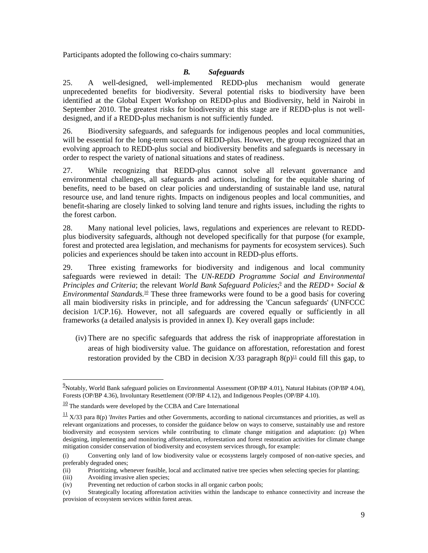Participants adopted the following co-chairs summary:

# *B. Safeguards*

25. A well-designed, well-implemented REDD-plus mechanism would generate unprecedented benefits for biodiversity. Several potential risks to biodiversity have been identified at the Global Expert Workshop on REDD-plus and Biodiversity, held in Nairobi in September 2010. The greatest risks for biodiversity at this stage are if REDD-plus is not welldesigned, and if a REDD-plus mechanism is not sufficiently funded.

26. Biodiversity safeguards, and safeguards for indigenous peoples and local communities, will be essential for the long-term success of REDD-plus. However, the group recognized that an evolving approach to REDD-plus social and biodiversity benefits and safeguards is necessary in order to respect the variety of national situations and states of readiness.

27. While recognizing that REDD-plus cannot solve all relevant governance and environmental challenges, all safeguards and actions, including for the equitable sharing of benefits, need to be based on clear policies and understanding of sustainable land use, natural resource use, and land tenure rights. Impacts on indigenous peoples and local communities, and benefit-sharing are closely linked to solving land tenure and rights issues, including the rights to the forest carbon.

28. Many national level policies, laws, regulations and experiences are relevant to REDDplus biodiversity safeguards, although not developed specifically for that purpose (for example, forest and protected area legislation, and mechanisms for payments for ecosystem services). Such policies and experiences should be taken into account in REDD-plus efforts.

29. Three existing frameworks for biodiversity and indigenous and local community safeguards were reviewed in detail: The *UN-REDD Programme Social and Environmental Principles and Criteria*; the relevant *World Bank Safeguard Policies*;<sup>2</sup> and the *REDD*+ *Social & Environmental Standards.*<sup>10</sup> These three frameworks were found to be a good basis for covering all main biodiversity risks in principle, and for addressing the 'Cancun safeguards' (UNFCCC decision 1/CP.16). However, not all safeguards are covered equally or sufficiently in all frameworks (a detailed analysis is provided in annex I). Key overall gaps include:

(iv) There are no specific safeguards that address the risk of inappropriate afforestation in areas of high biodiversity value. The guidance on afforestation, reforestation and forest restoration provided by the CBD in decision  $X/33$  paragraph  $8(p)^{11}$  could fill this gap, to

<u>.</u>

<sup>&</sup>lt;sup>9</sup> Notably, World Bank safeguard policies on Environmental Assessment (OP/BP 4.01), Natural Habitats (OP/BP 4.04), Forests (OP/BP 4.36), Involuntary Resettlement (OP/BP 4.12), and Indigenous Peoples (OP/BP 4.10).

 $\frac{10}{10}$  The standards were developed by the CCBA and Care International

 $\frac{11}{11}$  X/33 para 8(p) *'Invites* Parties and other Governments, according to national circumstances and priorities, as well as relevant organizations and processes, to consider the guidance below on ways to conserve, sustainably use and restore biodiversity and ecosystem services while contributing to climate change mitigation and adaptation: (p) When designing, implementing and monitoring afforestation, reforestation and forest restoration activities for climate change mitigation consider conservation of biodiversity and ecosystem services through, for example:

<sup>(</sup>i) Converting only land of low biodiversity value or ecosystems largely composed of non-native species, and preferably degraded ones;

<sup>(</sup>ii) Prioritizing, whenever feasible, local and acclimated native tree species when selecting species for planting;

<sup>(</sup>iii) Avoiding invasive alien species;

<sup>(</sup>iv) Preventing net reduction of carbon stocks in all organic carbon pools;

<sup>(</sup>v) Strategically locating afforestation activities within the landscape to enhance connectivity and increase the provision of ecosystem services within forest areas.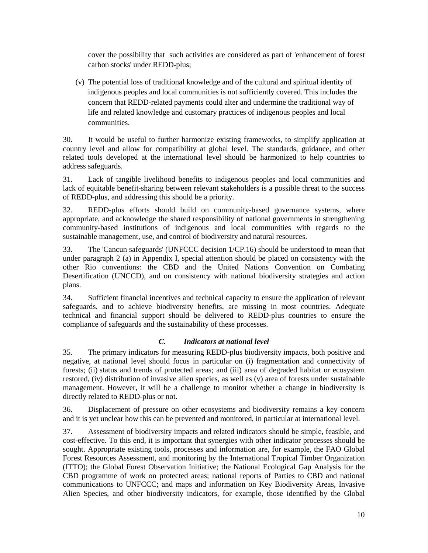cover the possibility that such activities are considered as part of 'enhancement of forest carbon stocks' under REDD-plus;

(v) The potential loss of traditional knowledge and of the cultural and spiritual identity of indigenous peoples and local communities is not sufficiently covered. This includes the concern that REDD-related payments could alter and undermine the traditional way of life and related knowledge and customary practices of indigenous peoples and local communities.

30. It would be useful to further harmonize existing frameworks, to simplify application at country level and allow for compatibility at global level. The standards, guidance, and other related tools developed at the international level should be harmonized to help countries to address safeguards.

31. Lack of tangible livelihood benefits to indigenous peoples and local communities and lack of equitable benefit-sharing between relevant stakeholders is a possible threat to the success of REDD-plus, and addressing this should be a priority.

32. REDD-plus efforts should build on community-based governance systems, where appropriate, and acknowledge the shared responsibility of national governments in strengthening community-based institutions of indigenous and local communities with regards to the sustainable management, use, and control of biodiversity and natural resources.

33. The 'Cancun safeguards' (UNFCCC decision 1/CP.16) should be understood to mean that under paragraph 2 (a) in Appendix I, special attention should be placed on consistency with the other Rio conventions: the CBD and the United Nations Convention on Combating Desertification (UNCCD), and on consistency with national biodiversity strategies and action plans.

34. Sufficient financial incentives and technical capacity to ensure the application of relevant safeguards, and to achieve biodiversity benefits, are missing in most countries. Adequate technical and financial support should be delivered to REDD-plus countries to ensure the compliance of safeguards and the sustainability of these processes.

# *C. Indicators at national level*

35. The primary indicators for measuring REDD-plus biodiversity impacts, both positive and negative, at national level should focus in particular on (i) fragmentation and connectivity of forests; (ii) status and trends of protected areas; and (iii) area of degraded habitat or ecosystem restored, (iv) distribution of invasive alien species, as well as (v) area of forests under sustainable management. However, it will be a challenge to monitor whether a change in biodiversity is directly related to REDD-plus or not.

36. Displacement of pressure on other ecosystems and biodiversity remains a key concern and it is yet unclear how this can be prevented and monitored, in particular at international level.

37. Assessment of biodiversity impacts and related indicators should be simple, feasible, and cost-effective. To this end, it is important that synergies with other indicator processes should be sought. Appropriate existing tools, processes and information are, for example, the FAO Global Forest Resources Assessment, and monitoring by the International Tropical Timber Organization (ITTO); the Global Forest Observation Initiative; the National Ecological Gap Analysis for the CBD programme of work on protected areas; national reports of Parties to CBD and national communications to UNFCCC; and maps and information on Key Biodiversity Areas, Invasive Alien Species, and other biodiversity indicators, for example, those identified by the Global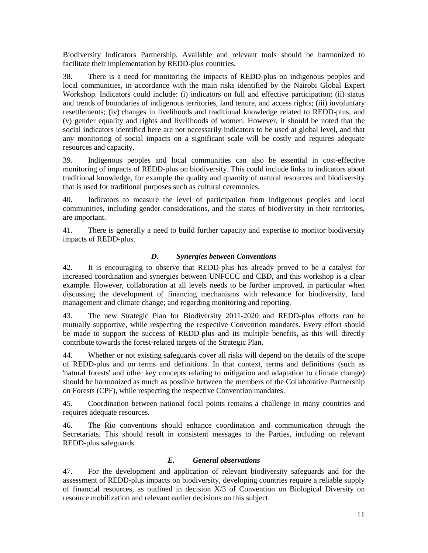Biodiversity Indicators Partnership. Available and relevant tools should be harmonized to facilitate their implementation by REDD-plus countries.

38. There is a need for monitoring the impacts of REDD-plus on indigenous peoples and local communities, in accordance with the main risks identified by the Nairobi Global Expert Workshop. Indicators could include: (i) indicators on full and effective participation; (ii) status and trends of boundaries of indigenous territories, land tenure, and access rights; (iii) involuntary resettlements; (iv) changes in livelihoods and traditional knowledge related to REDD-plus, and (v) gender equality and rights and livelihoods of women. However, it should be noted that the social indicators identified here are not necessarily indicators to be used at global level, and that any monitoring of social impacts on a significant scale will be costly and requires adequate resources and capacity.

39. Indigenous peoples and local communities can also be essential in cost-effective monitoring of impacts of REDD-plus on biodiversity. This could include links to indicators about traditional knowledge, for example the quality and quantity of natural resources and biodiversity that is used for traditional purposes such as cultural ceremonies.

40. Indicators to measure the level of participation from indigenous peoples and local communities, including gender considerations, and the status of biodiversity in their territories, are important.

41. There is generally a need to build further capacity and expertise to monitor biodiversity impacts of REDD-plus.

# *D. Synergies between Conventions*

42. It is encouraging to observe that REDD-plus has already proved to be a catalyst for increased coordination and synergies between UNFCCC and CBD, and this workshop is a clear example. However, collaboration at all levels needs to be further improved, in particular when discussing the development of financing mechanisms with relevance for biodiversity, land management and climate change; and regarding monitoring and reporting.

43. The new Strategic Plan for Biodiversity 2011-2020 and REDD-plus efforts can be mutually supportive, while respecting the respective Convention mandates. Every effort should be made to support the success of REDD-plus and its multiple benefits, as this will directly contribute towards the forest-related targets of the Strategic Plan.

44. Whether or not existing safeguards cover all risks will depend on the details of the scope of REDD-plus and on terms and definitions. In that context, terms and definitions (such as 'natural forests' and other key concepts relating to mitigation and adaptation to climate change) should be harmonized as much as possible between the members of the Collaborative Partnership on Forests (CPF), while respecting the respective Convention mandates.

45. Coordination between national focal points remains a challenge in many countries and requires adequate resources.

46. The Rio conventions should enhance coordination and communication through the Secretariats. This should result in consistent messages to the Parties, including on relevant REDD-plus safeguards.

# *E. General observations*

47. For the development and application of relevant biodiversity safeguards and for the assessment of REDD-plus impacts on biodiversity, developing countries require a reliable supply of financial resources, as outlined in decision X/3 of Convention on Biological Diversity on resource mobilization and relevant earlier decisions on this subject.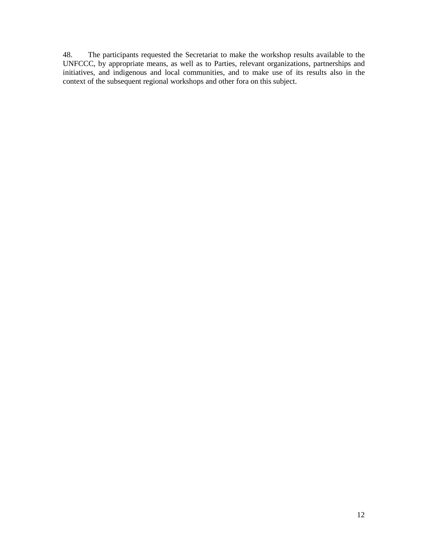48. The participants requested the Secretariat to make the workshop results available to the UNFCCC, by appropriate means, as well as to Parties, relevant organizations, partnerships and initiatives, and indigenous and local communities, and to make use of its results also in the context of the subsequent regional workshops and other fora on this subject.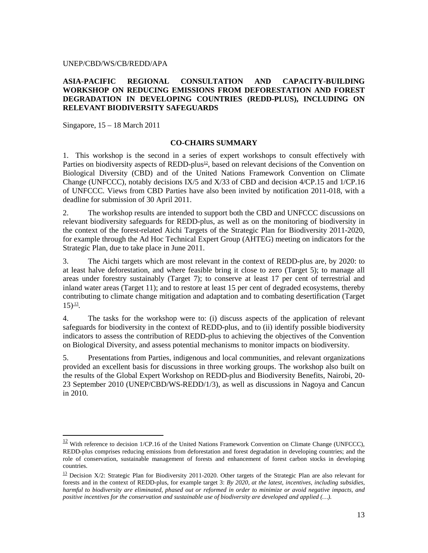## UNEP/CBD/WS/CB/REDD/APA

## **ASIA-PACIFIC REGIONAL CONSULTATION AND CAPACITY-BUILDING WORKSHOP ON REDUCING EMISSIONS FROM DEFORESTATION AND FOREST DEGRADATION IN DEVELOPING COUNTRIES (REDD-PLUS), INCLUDING ON RELEVANT BIODIVERSITY SAFEGUARDS**

Singapore, 15 – 18 March 2011

-

## **CO-CHAIRS SUMMARY**

1. This workshop is the second in a series of expert workshops to consult effectively with Parties on biodiversity aspects of REDD-plus<sup>12</sup>, based on relevant decisions of the Convention on Biological Diversity (CBD) and of the United Nations Framework Convention on Climate Change (UNFCCC), notably decisions IX/5 and X/33 of CBD and decision 4/CP.15 and 1/CP.16 of UNFCCC. Views from CBD Parties have also been invited by notification 2011-018, with a deadline for submission of 30 April 2011.

2. The workshop results are intended to support both the CBD and UNFCCC discussions on relevant biodiversity safeguards for REDD-plus, as well as on the monitoring of biodiversity in the context of the forest-related Aichi Targets of the Strategic Plan for Biodiversity 2011-2020, for example through the Ad Hoc Technical Expert Group (AHTEG) meeting on indicators for the Strategic Plan, due to take place in June 2011.

3. The Aichi targets which are most relevant in the context of REDD-plus are, by 2020: to at least halve deforestation, and where feasible bring it close to zero (Target 5); to manage all areas under forestry sustainably (Target 7); to conserve at least 17 per cent of terrestrial and inland water areas (Target 11); and to restore at least 15 per cent of degraded ecosystems, thereby contributing to climate change mitigation and adaptation and to combating desertification (Target  $15)^{\frac{13}{2}}$ .

4. The tasks for the workshop were to: (i) discuss aspects of the application of relevant safeguards for biodiversity in the context of REDD-plus, and to (ii) identify possible biodiversity indicators to assess the contribution of REDD-plus to achieving the objectives of the Convention on Biological Diversity, and assess potential mechanisms to monitor impacts on biodiversity.

5. Presentations from Parties, indigenous and local communities, and relevant organizations provided an excellent basis for discussions in three working groups. The workshop also built on the results of the Global Expert Workshop on REDD-plus and Biodiversity Benefits, Nairobi, 20- 23 September 2010 (UNEP/CBD/WS-REDD/1/3), as well as discussions in Nagoya and Cancun in 2010.

 $\frac{12}{12}$  With reference to decision 1/CP.16 of the United Nations Framework Convention on Climate Change (UNFCCC), REDD-plus comprises reducing emissions from deforestation and forest degradation in developing countries; and the role of conservation, sustainable management of forests and enhancement of forest carbon stocks in developing countries.

<sup>&</sup>lt;sup>13</sup> Decision X/2: Strategic Plan for Biodiversity 2011-2020. Other targets of the Strategic Plan are also relevant for forests and in the context of REDD-plus, for example target 3: *By 2020, at the latest, incentives, including subsidies, harmful to biodiversity are eliminated, phased out or reformed in order to minimize or avoid negative impacts, and positive incentives for the conservation and sustainable use of biodiversity are developed and applied (…).*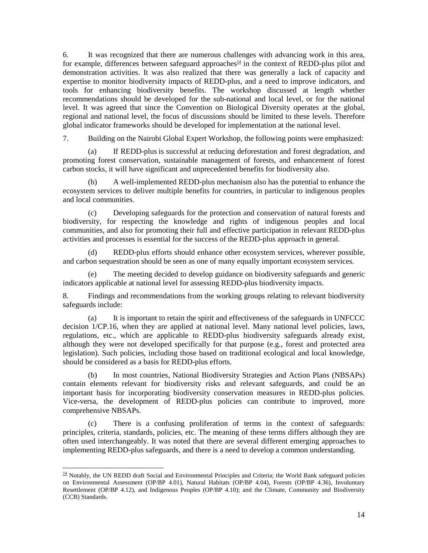6. It was recognized that there are numerous challenges with advancing work in this area, for example, differences between safeguard approaches<sup>14</sup> in the context of REDD-plus pilot and demonstration activities. It was also realized that there was generally a lack of capacity and expertise to monitor biodiversity impacts of REDD-plus, and a need to improve indicators, and tools for enhancing biodiversity benefits. The workshop discussed at length whether recommendations should be developed for the sub-national and local level, or for the national level. It was agreed that since the Convention on Biological Diversity operates at the global, regional and national level, the focus of discussions should be limited to these levels. Therefore global indicator frameworks should be developed for implementation at the national level.

7. Building on the Nairobi Global Expert Workshop, the following points were emphasized:

(a) If REDD-plus is successful at reducing deforestation and forest degradation, and promoting forest conservation, sustainable management of forests, and enhancement of forest carbon stocks, it will have significant and unprecedented benefits for biodiversity also.

(b) A well-implemented REDD-plus mechanism also has the potential to enhance the ecosystem services to deliver multiple benefits for countries, in particular to indigenous peoples and local communities.

(c) Developing safeguards for the protection and conservation of natural forests and biodiversity, for respecting the knowledge and rights of indigenous peoples and local communities, and also for promoting their full and effective participation in relevant REDD-plus activities and processes is essential for the success of the REDD-plus approach in general.

(d) REDD-plus efforts should enhance other ecosystem services, wherever possible, and carbon sequestration should be seen as one of many equally important ecosystem services.

(e) The meeting decided to develop guidance on biodiversity safeguards and generic indicators applicable at national level for assessing REDD-plus biodiversity impacts.

8. Findings and recommendations from the working groups relating to relevant biodiversity safeguards include:

(a) It is important to retain the spirit and effectiveness of the safeguards in UNFCCC decision 1/CP.16, when they are applied at national level. Many national level policies, laws, regulations, etc., which are applicable to REDD-plus biodiversity safeguards already exist, although they were not developed specifically for that purpose (e.g., forest and protected area legislation). Such policies, including those based on traditional ecological and local knowledge, should be considered as a basis for REDD-plus efforts.

(b) In most countries, National Biodiversity Strategies and Action Plans (NBSAPs) contain elements relevant for biodiversity risks and relevant safeguards, and could be an important basis for incorporating biodiversity conservation measures in REDD-plus policies. Vice-versa, the development of REDD-plus policies can contribute to improved, more comprehensive NBSAPs.

(c) There is a confusing proliferation of terms in the context of safeguards: principles, criteria, standards, policies, etc. The meaning of these terms differs although they are often used interchangeably. It was noted that there are several different emerging approaches to implementing REDD-plus safeguards, and there is a need to develop a common understanding.

-

 $14$  Notably, the UN REDD draft Social and Environmental Principles and Criteria; the World Bank safeguard policies on Environmental Assessment (OP/BP 4.01), Natural Habitats (OP/BP 4.04), Forests (OP/BP 4.36), Involuntary Resettlement (OP/BP 4.12), and Indigenous Peoples (OP/BP 4.10); and the Climate, Community and Biodiversity (CCB) Standards.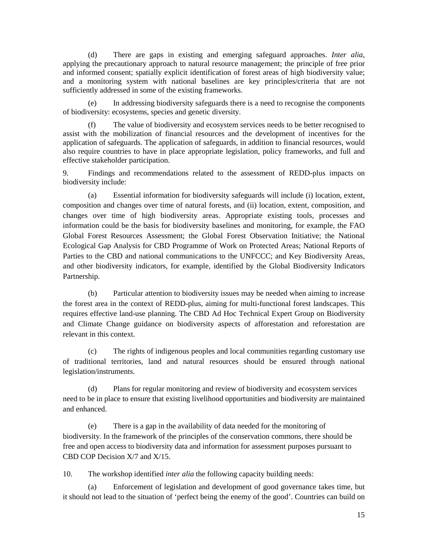(d) There are gaps in existing and emerging safeguard approaches. *Inter alia*, applying the precautionary approach to natural resource management; the principle of free prior and informed consent; spatially explicit identification of forest areas of high biodiversity value; and a monitoring system with national baselines are key principles/criteria that are not sufficiently addressed in some of the existing frameworks.

(e) In addressing biodiversity safeguards there is a need to recognise the components of biodiversity: ecosystems, species and genetic diversity.

(f) The value of biodiversity and ecosystem services needs to be better recognised to assist with the mobilization of financial resources and the development of incentives for the application of safeguards. The application of safeguards, in addition to financial resources, would also require countries to have in place appropriate legislation, policy frameworks, and full and effective stakeholder participation.

9. Findings and recommendations related to the assessment of REDD-plus impacts on biodiversity include:

(a) Essential information for biodiversity safeguards will include (i) location, extent, composition and changes over time of natural forests, and (ii) location, extent, composition, and changes over time of high biodiversity areas. Appropriate existing tools, processes and information could be the basis for biodiversity baselines and monitoring, for example, the FAO Global Forest Resources Assessment; the Global Forest Observation Initiative; the National Ecological Gap Analysis for CBD Programme of Work on Protected Areas; National Reports of Parties to the CBD and national communications to the UNFCCC; and Key Biodiversity Areas, and other biodiversity indicators, for example, identified by the Global Biodiversity Indicators Partnership.

(b) Particular attention to biodiversity issues may be needed when aiming to increase the forest area in the context of REDD-plus, aiming for multi-functional forest landscapes. This requires effective land-use planning. The CBD Ad Hoc Technical Expert Group on Biodiversity and Climate Change guidance on biodiversity aspects of afforestation and reforestation are relevant in this context.

(c) The rights of indigenous peoples and local communities regarding customary use of traditional territories, land and natural resources should be ensured through national legislation/instruments.

(d) Plans for regular monitoring and review of biodiversity and ecosystem services need to be in place to ensure that existing livelihood opportunities and biodiversity are maintained and enhanced.

(e) There is a gap in the availability of data needed for the monitoring of biodiversity. In the framework of the principles of the conservation commons, there should be free and open access to biodiversity data and information for assessment purposes pursuant to CBD COP Decision X/7 and X/15.

10. The workshop identified *inter alia* the following capacity building needs:

(a) Enforcement of legislation and development of good governance takes time, but it should not lead to the situation of 'perfect being the enemy of the good'. Countries can build on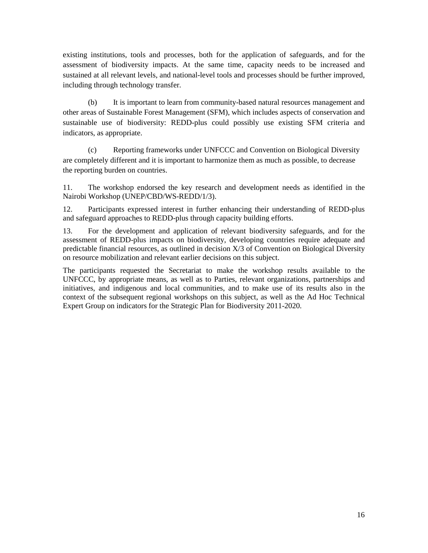existing institutions, tools and processes, both for the application of safeguards, and for the assessment of biodiversity impacts. At the same time, capacity needs to be increased and sustained at all relevant levels, and national-level tools and processes should be further improved, including through technology transfer.

(b) It is important to learn from community-based natural resources management and other areas of Sustainable Forest Management (SFM), which includes aspects of conservation and sustainable use of biodiversity: REDD-plus could possibly use existing SFM criteria and indicators, as appropriate.

(c) Reporting frameworks under UNFCCC and Convention on Biological Diversity are completely different and it is important to harmonize them as much as possible, to decrease the reporting burden on countries.

11. The workshop endorsed the key research and development needs as identified in the Nairobi Workshop (UNEP/CBD/WS-REDD/1/3).

12. Participants expressed interest in further enhancing their understanding of REDD-plus and safeguard approaches to REDD-plus through capacity building efforts.

13. For the development and application of relevant biodiversity safeguards, and for the assessment of REDD-plus impacts on biodiversity, developing countries require adequate and predictable financial resources, as outlined in decision X/3 of Convention on Biological Diversity on resource mobilization and relevant earlier decisions on this subject.

The participants requested the Secretariat to make the workshop results available to the UNFCCC, by appropriate means, as well as to Parties, relevant organizations, partnerships and initiatives, and indigenous and local communities, and to make use of its results also in the context of the subsequent regional workshops on this subject, as well as the Ad Hoc Technical Expert Group on indicators for the Strategic Plan for Biodiversity 2011-2020.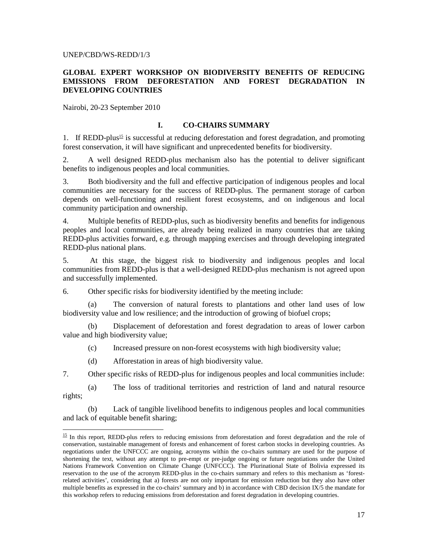### UNEP/CBD/WS-REDD/1/3

## **GLOBAL EXPERT WORKSHOP ON BIODIVERSITY BENEFITS OF REDUCING EMISSIONS FROM DEFORESTATION AND FOREST DEGRADATION IN DEVELOPING COUNTRIES**

Nairobi, 20-23 September 2010

<u>.</u>

## **I. CO-CHAIRS SUMMARY**

1. If REDD-plus<sup>15</sup> is successful at reducing deforestation and forest degradation, and promoting forest conservation, it will have significant and unprecedented benefits for biodiversity.

2. A well designed REDD-plus mechanism also has the potential to deliver significant benefits to indigenous peoples and local communities.

3. Both biodiversity and the full and effective participation of indigenous peoples and local communities are necessary for the success of REDD-plus. The permanent storage of carbon depends on well-functioning and resilient forest ecosystems, and on indigenous and local community participation and ownership.

4. Multiple benefits of REDD-plus, such as biodiversity benefits and benefits for indigenous peoples and local communities, are already being realized in many countries that are taking REDD-plus activities forward, e.g. through mapping exercises and through developing integrated REDD-plus national plans.

5. At this stage, the biggest risk to biodiversity and indigenous peoples and local communities from REDD-plus is that a well-designed REDD-plus mechanism is not agreed upon and successfully implemented.

6. Other specific risks for biodiversity identified by the meeting include:

The conversion of natural forests to plantations and other land uses of low biodiversity value and low resilience; and the introduction of growing of biofuel crops;

(b) Displacement of deforestation and forest degradation to areas of lower carbon value and high biodiversity value;

(c) Increased pressure on non-forest ecosystems with high biodiversity value;

(d) Afforestation in areas of high biodiversity value.

7. Other specific risks of REDD-plus for indigenous peoples and local communities include:

(a) The loss of traditional territories and restriction of land and natural resource rights;

(b) Lack of tangible livelihood benefits to indigenous peoples and local communities and lack of equitable benefit sharing;

 $15$  In this report, REDD-plus refers to reducing emissions from deforestation and forest degradation and the role of conservation, sustainable management of forests and enhancement of forest carbon stocks in developing countries. As negotiations under the UNFCCC are ongoing, acronyms within the co-chairs summary are used for the purpose of shortening the text, without any attempt to pre-empt or pre-judge ongoing or future negotiations under the United Nations Framework Convention on Climate Change (UNFCCC). The Plurinational State of Bolivia expressed its reservation to the use of the acronym REDD-plus in the co-chairs summary and refers to this mechanism as 'forestrelated activities', considering that a) forests are not only important for emission reduction but they also have other multiple benefits as expressed in the co-chairs' summary and b) in accordance with CBD decision IX/5 the mandate for this workshop refers to reducing emissions from deforestation and forest degradation in developing countries.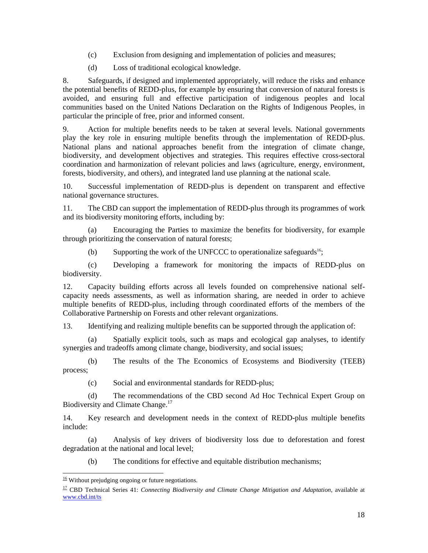- (c) Exclusion from designing and implementation of policies and measures;
- (d) Loss of traditional ecological knowledge.

8. Safeguards, if designed and implemented appropriately, will reduce the risks and enhance the potential benefits of REDD-plus, for example by ensuring that conversion of natural forests is avoided, and ensuring full and effective participation of indigenous peoples and local communities based on the United Nations Declaration on the Rights of Indigenous Peoples, in particular the principle of free, prior and informed consent.

9. Action for multiple benefits needs to be taken at several levels. National governments play the key role in ensuring multiple benefits through the implementation of REDD-plus. National plans and national approaches benefit from the integration of climate change, biodiversity, and development objectives and strategies. This requires effective cross-sectoral coordination and harmonization of relevant policies and laws (agriculture, energy, environment, forests, biodiversity, and others), and integrated land use planning at the national scale.

10. Successful implementation of REDD-plus is dependent on transparent and effective national governance structures.

11. The CBD can support the implementation of REDD-plus through its programmes of work and its biodiversity monitoring efforts, including by:

(a) Encouraging the Parties to maximize the benefits for biodiversity, for example through prioritizing the conservation of natural forests;

(b) Supporting the work of the UNFCCC to operationalize safeguards<sup>16</sup>;

(c) Developing a framework for monitoring the impacts of REDD-plus on biodiversity.

12. Capacity building efforts across all levels founded on comprehensive national selfcapacity needs assessments, as well as information sharing, are needed in order to achieve multiple benefits of REDD-plus, including through coordinated efforts of the members of the Collaborative Partnership on Forests and other relevant organizations.

13. Identifying and realizing multiple benefits can be supported through the application of:

(a) Spatially explicit tools, such as maps and ecological gap analyses, to identify synergies and tradeoffs among climate change, biodiversity, and social issues;

(b) The results of the The Economics of Ecosystems and Biodiversity (TEEB) process;

(c) Social and environmental standards for REDD-plus;

(d) The recommendations of the CBD second Ad Hoc Technical Expert Group on Biodiversity and Climate Change.<sup>17</sup>

14. Key research and development needs in the context of REDD-plus multiple benefits include:

(a) Analysis of key drivers of biodiversity loss due to deforestation and forest degradation at the national and local level;

(b) The conditions for effective and equitable distribution mechanisms;

 $\overline{a}$  $\frac{16}{16}$  Without prejudging ongoing or future negotiations.

<sup>17</sup> CBD Technical Series 41: *Connecting Biodiversity and Climate Change Mitigation and Adaptation*, available at www.cbd.int/ts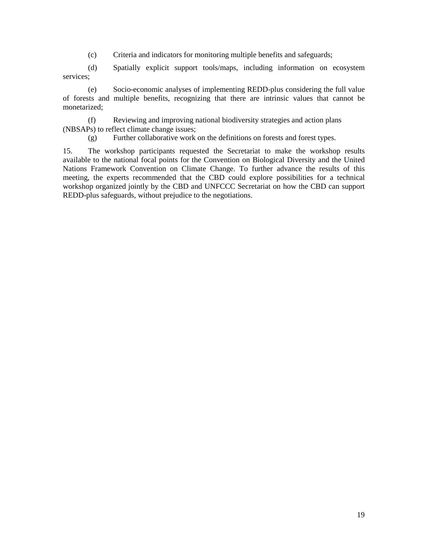(c) Criteria and indicators for monitoring multiple benefits and safeguards;

(d) Spatially explicit support tools/maps, including information on ecosystem services;

(e) Socio-economic analyses of implementing REDD-plus considering the full value of forests and multiple benefits, recognizing that there are intrinsic values that cannot be monetarized;

(f) Reviewing and improving national biodiversity strategies and action plans (NBSAPs) to reflect climate change issues;

(g) Further collaborative work on the definitions on forests and forest types.

15. The workshop participants requested the Secretariat to make the workshop results available to the national focal points for the Convention on Biological Diversity and the United Nations Framework Convention on Climate Change. To further advance the results of this meeting, the experts recommended that the CBD could explore possibilities for a technical workshop organized jointly by the CBD and UNFCCC Secretariat on how the CBD can support REDD-plus safeguards, without prejudice to the negotiations.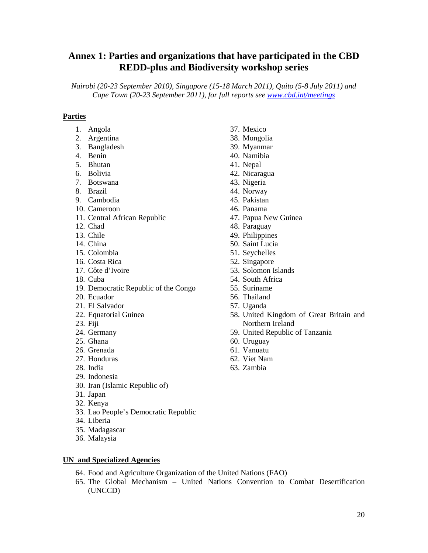# **Annex 1: Parties and organizations that have participated in the CBD REDD-plus and Biodiversity workshop series**

*Nairobi (20-23 September 2010), Singapore (15-18 March 2011), Quito (5-8 July 2011) and Cape Town (20-23 September 2011), for full reports see www.cbd.int/meetings* 

## **Parties**

- 1. Angola
- 2. Argentina
- 3. Bangladesh
- 4. Benin
- 5. Bhutan
- 6. Bolivia
- 7. Botswana
- 8. Brazil
- 9. Cambodia
- 10. Cameroon
- 11. Central African Republic
- 12. Chad
- 13. Chile
- 14. China
- 15. Colombia
- 16. Costa Rica
- 17. Côte d'Ivoire
- 18. Cuba
- 19. Democratic Republic of the Congo
- 20. Ecuador
- 21. El Salvador
- 22. Equatorial Guinea
- 23. Fiji
- 24. Germany
- 25. Ghana
- 26. Grenada
- 27. Honduras
- 28. India
- 29. Indonesia
- 30. Iran (Islamic Republic of)
- 31. Japan
- 32. Kenya
- 33. Lao People's Democratic Republic
- 34. Liberia
- 35. Madagascar
- 36. Malaysia

### **UN and Specialized Agencies**

- 64. Food and Agriculture Organization of the United Nations (FAO)
- 65. The Global Mechanism United Nations Convention to Combat Desertification (UNCCD)
- 37. Mexico
- 38. Mongolia
- 39. Myanmar
- 40. Namibia
- 41. Nepal
- 42. Nicaragua
- 43. Nigeria
- 44. Norway
- 45. Pakistan
- 46. Panama
- 47. Papua New Guinea
- 48. Paraguay
- 49. Philippines
- 50. Saint Lucia
- 51. Seychelles
- 52. Singapore
- 53. Solomon Islands
- 54. South Africa
- 55. Suriname
- 56. Thailand
- 57. Uganda
- 58. United Kingdom of Great Britain and Northern Ireland
- 59. United Republic of Tanzania
- 60. Uruguay
- 61. Vanuatu
- 62. Viet Nam
- 63. Zambia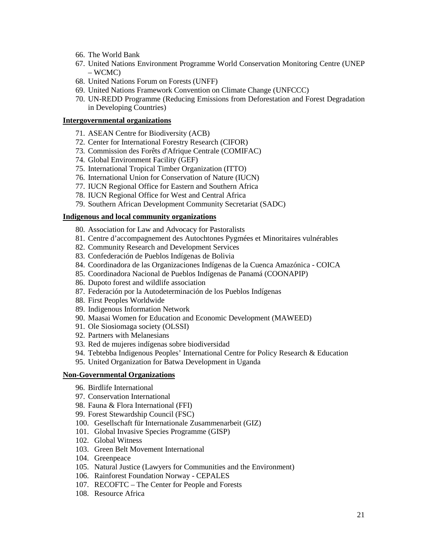- 66. The World Bank
- 67. United Nations Environment Programme World Conservation Monitoring Centre (UNEP – WCMC)
- 68. United Nations Forum on Forests (UNFF)
- 69. United Nations Framework Convention on Climate Change (UNFCCC)
- 70. UN-REDD Programme (Reducing Emissions from Deforestation and Forest Degradation in Developing Countries)

### **Intergovernmental organizations**

- 71. ASEAN Centre for Biodiversity (ACB)
- 72. Center for International Forestry Research (CIFOR)
- 73. Commission des Forêts d'Afrique Centrale (COMIFAC)
- 74. Global Environment Facility (GEF)
- 75. International Tropical Timber Organization (ITTO)
- 76. International Union for Conservation of Nature (IUCN)
- 77. IUCN Regional Office for Eastern and Southern Africa
- 78. IUCN Regional Office for West and Central Africa
- 79. Southern African Development Community Secretariat (SADC)

## **Indigenous and local community organizations**

- 80. Association for Law and Advocacy for Pastoralists
- 81. Centre d'accompagnement des Autochtones Pygmées et Minoritaires vulnérables
- 82. Community Research and Development Services
- 83. Confederación de Pueblos Indígenas de Bolivia
- 84. Coordinadora de las Organizaciones Indígenas de la Cuenca Amazónica COICA
- 85. Coordinadora Nacional de Pueblos Indígenas de Panamá (COONAPIP)
- 86. Dupoto forest and wildlife association
- 87. Federación por la Autodeterminación de los Pueblos Indígenas
- 88. First Peoples Worldwide
- 89. Indigenous Information Network
- 90. Maasai Women for Education and Economic Development (MAWEED)
- 91. Ole Siosiomaga society (OLSSI)
- 92. Partners with Melanesians
- 93. Red de mujeres indígenas sobre biodiversidad
- 94. Tebtebba Indigenous Peoples' International Centre for Policy Research & Education
- 95. United Organization for Batwa Development in Uganda

#### **Non-Governmental Organizations**

- 96. Birdlife International
- 97. Conservation International
- 98. Fauna & Flora International (FFI)
- 99. Forest Stewardship Council (FSC)
- 100. Gesellschaft für Internationale Zusammenarbeit (GIZ)
- 101. Global Invasive Species Programme (GISP)
- 102. Global Witness
- 103. Green Belt Movement International
- 104. Greenpeace
- 105. Natural Justice (Lawyers for Communities and the Environment)
- 106. Rainforest Foundation Norway CEPALES
- 107. RECOFTC The Center for People and Forests
- 108. Resource Africa